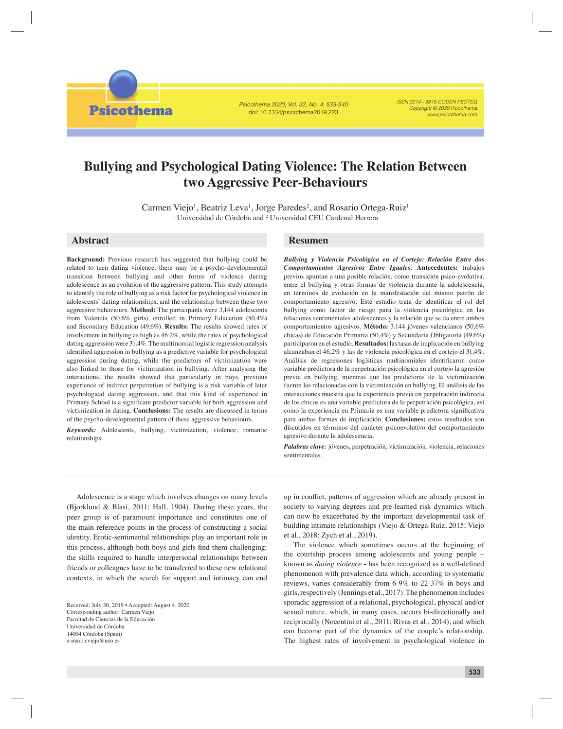**Psicothema** 

Psicothema 2020, Vol. 32, No. 4, 533-540 doi: 10.7334/psicothema2019.223

ISSN 0214 - 9915 CODEN PSOTEG Copyright © 2020 Psicothema www.psicothema.com

# **Bullying and Psychological Dating Violence: The Relation Between two Aggressive Peer-Behaviours**

Carmen Viejo<sup>1</sup>, Beatriz Leva<sup>1</sup>, Jorge Paredes<sup>2</sup>, and Rosario Ortega-Ruiz<sup>1</sup> <sup>1</sup> Universidad de Córdoba and <sup>2</sup> Universidad CEU Cardenal Herrera

**Background:** Previous research has suggested that bullying could be related to teen dating violence; there may be a psycho-developmental transition between bullying and other forms of violence during adolescence as an evolution of the aggressive pattern. This study attempts to identify the role of bullying as a risk factor for psychological violence in adolescents' dating relationships, and the relationship between these two aggressive behaviours. **Method:** The participants were 3,144 adolescents from Valencia (50.6% girls), enrolled in Primary Education (50.4%) and Secondary Education (49.6%). **Results:** The results showed rates of involvement in bullying as high as 46.2%, while the rates of psychological dating aggression were 31.4%. The multinomial logistic regression analysis identified aggression in bullying as a predictive variable for psychological aggression during dating, while the predictors of victimization were also linked to those for victimization in bullying. After analysing the interactions, the results showed that particularly in boys, previous experience of indirect perpetration of bullying is a risk variable of later psychological dating aggression, and that this kind of experience in Primary School is a significant predictor variable for both aggression and victimization in dating. **Conclusions:** The results are discussed in terms of the psycho-developmental pattern of these aggressive behaviours.

*Keywords:* Adolescents, bullying, victimization, violence, romantic relationships.

## **Abstract Resumen**

*Bullying y Violencia Psicológica en el Cortejo: Relación Entre dos Comportamientos Agresivos Entre Iguales.* **Antecedentes:** trabajos previos apuntan a una posible relación, como transición psico-evolutiva, entre el bullying y otras formas de violencia durante la adolescencia, en términos de evolución en la manifestación del mismo patrón de comportamiento agresivo. Este estudio trata de identificar el rol del bullying como factor de riesgo para la violencia psicológica en las relaciones sentimentales adolescentes y la relación que se da entre ambos comportamientos agresivos. **Método:** 3.144 jóvenes valencianos (50,6% chicas) de Educación Primaria (50,4%) y Secundaria Obligatoria (49,6%) participaron en el estudio. **Resultados:** las tasas de implicación en bullying alcanzaban el 46,2% y las de violencia psicológica en el cortejo el 31,4%. Análisis de regresiones logísticas multinomiales identificaron como variable predictora de la perpetración psicológica en el cortejo la agresión previa en bullying, mientras que las predictoras de la victimización fueron las relacionadas con la victimización en bullying. El análisis de las interacciones muestra que la experiencia previa en perpetración indirecta de los chicos es una variable predictora de la perpetración psicológica, así como la experiencia en Primaria es una variable predictora significativa para ambas formas de implicación. **Conclusiones:** estos resultados son discutidos en términos del carácter psicoevolutivo del comportamiento agresivo durante la adolescencia.

*Palabras clave:* jóvenes**,** perpetración, victimización, violencia, relaciones sentimentales.

Adolescence is a stage which involves changes on many levels (Bjorklund & Blasi, 2011; Hall, 1904). During these years, the peer group is of paramount importance and constitutes one of the main reference points in the process of constructing a social identity. Erotic-sentimental relationships play an important role in this process, although both boys and girls find them challenging: the skills required to handle interpersonal relationships between friends or colleagues have to be transferred to these new relational contexts, in which the search for support and intimacy can end

up in conflict, patterns of aggression which are already present in society to varying degrees and pre-learned risk dynamics which can now be exacerbated by the important developmental task of building intimate relationships (Viejo & Ortega-Ruiz, 2015; Viejo et al., 2018; Zych et al., 2019).

The violence which sometimes occurs at the beginning of the courtship process among adolescents and young people – known as *dating violence* - has been recognized as a well-defined phenomenon with prevalence data which, according to systematic reviews, varies considerably from 6-9% to 22-37% in boys and girls, respectively (Jennings et al., 2017). The phenomenon includes sporadic aggression of a relational, psychological, physical and/or sexual nature, which, in many cases, occurs bi-directionally and reciprocally (Nocentini et al., 2011; Rivas et al., 2014), and which can become part of the dynamics of the couple's relationship. The highest rates of involvement in psychological violence in

Received: July 30, 2019 • Accepted: August 4, 2020 Corresponding author: Carmen Viejo Facultad de Ciencias de la Educación Universidad de Córdoba 14004 Córdoba (Spain) e-mail: cviejo@uco.es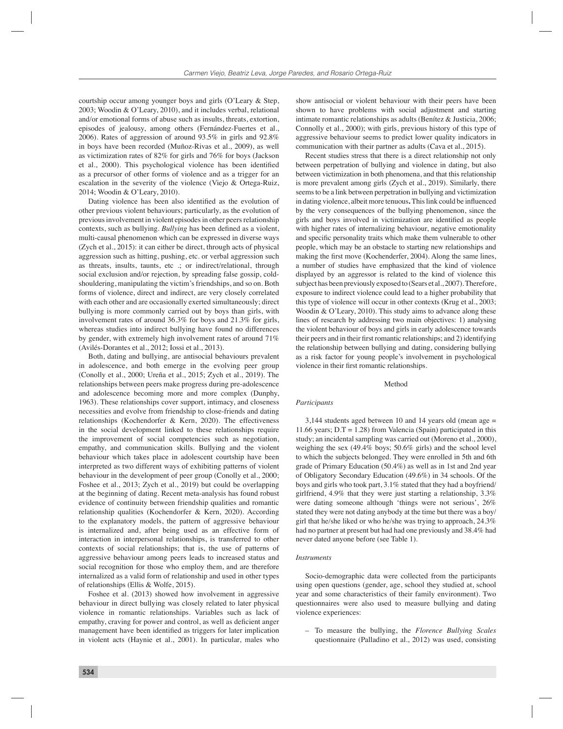courtship occur among younger boys and girls (O'Leary & Step, 2003; Woodin & O'Leary, 2010), and it includes verbal, relational and/or emotional forms of abuse such as insults, threats, extortion, episodes of jealousy, among others (Fernández-Fuertes et al., 2006). Rates of aggression of around 93.5% in girls and 92.8% in boys have been recorded (Muñoz-Rivas et al., 2009), as well as victimization rates of 82% for girls and 76% for boys (Jackson et al., 2000). This psychological violence has been identified as a precursor of other forms of violence and as a trigger for an escalation in the severity of the violence (Viejo & Ortega-Ruiz, 2014; Woodin & O'Leary, 2010).

Dating violence has been also identified as the evolution of other previous violent behaviours; particularly, as the evolution of previous involvement in violent episodes in other peers relationship contexts, such as bullying. *Bullying* has been defined as a violent, multi-causal phenomenon which can be expressed in diverse ways (Zych et al., 2015): it can either be direct, through acts of physical aggression such as hitting, pushing, etc. or verbal aggression such as threats, insults, taunts, etc .; or indirect/relational, through social exclusion and/or rejection, by spreading false gossip, coldshouldering, manipulating the victim's friendships, and so on. Both forms of violence, direct and indirect, are very closely correlated with each other and are occasionally exerted simultaneously; direct bullying is more commonly carried out by boys than girls, with involvement rates of around 36.3% for boys and 21.3% for girls, whereas studies into indirect bullying have found no differences by gender, with extremely high involvement rates of around 71% (Avilés-Dorantes et al., 2012; Iossi et al., 2013).

Both, dating and bullying, are antisocial behaviours prevalent in adolescence, and both emerge in the evolving peer group (Conolly et al., 2000; Ureña et al., 2015; Zych et al., 2019). The relationships between peers make progress during pre-adolescence and adolescence becoming more and more complex (Dunphy, 1963). These relationships cover support, intimacy, and closeness necessities and evolve from friendship to close-friends and dating relationships (Kochendorfer & Kern, 2020). The effectiveness in the social development linked to these relationships require the improvement of social competencies such as negotiation, empathy, and communication skills. Bullying and the violent behaviour which takes place in adolescent courtship have been interpreted as two different ways of exhibiting patterns of violent behaviour in the development of peer group (Conolly et al., 2000; Foshee et al., 2013; Zych et al., 2019) but could be overlapping at the beginning of dating. Recent meta-analysis has found robust evidence of continuity between friendship qualities and romantic relationship qualities (Kochendorfer & Kern, 2020). According to the explanatory models, the pattern of aggressive behaviour is internalized and, after being used as an effective form of interaction in interpersonal relationships, is transferred to other contexts of social relationships; that is, the use of patterns of aggressive behaviour among peers leads to increased status and social recognition for those who employ them, and are therefore internalized as a valid form of relationship and used in other types of relationships (Ellis & Wolfe, 2015).

Foshee et al. (2013) showed how involvement in aggressive behaviour in direct bullying was closely related to later physical violence in romantic relationships. Variables such as lack of empathy, craving for power and control, as well as deficient anger management have been identified as triggers for later implication in violent acts (Haynie et al., 2001). In particular, males who

show antisocial or violent behaviour with their peers have been shown to have problems with social adjustment and starting intimate romantic relationships as adults (Benítez & Justicia, 2006; Connolly et al., 2000); with girls, previous history of this type of aggressive behaviour seems to predict lower quality indicators in communication with their partner as adults (Cava et al., 2015).

Recent studies stress that there is a direct relationship not only between perpetration of bullying and violence in dating, but also between victimization in both phenomena, and that this relationship is more prevalent among girls (Zych et al., 2019). Similarly, there seems to be a link between perpetration in bullying and victimization in dating violence, albeit more tenuous. This link could be influenced by the very consequences of the bullying phenomenon, since the girls and boys involved in victimization are identified as people with higher rates of internalizing behaviour, negative emotionality and specific personality traits which make them vulnerable to other people, which may be an obstacle to starting new relationships and making the first move (Kochenderfer, 2004). Along the same lines, a number of studies have emphasized that the kind of violence displayed by an aggressor is related to the kind of violence this subject has been previously exposed to (Sears et al., 2007). Therefore, exposure to indirect violence could lead to a higher probability that this type of violence will occur in other contexts (Krug et al., 2003; Woodin & O'Leary, 2010). This study aims to advance along these lines of research by addressing two main objectives: 1) analysing the violent behaviour of boys and girls in early adolescence towards their peers and in their first romantic relationships; and 2) identifying the relationship between bullying and dating, considering bullying as a risk factor for young people's involvement in psychological violence in their first romantic relationships.

### Method

#### *Participants*

3,144 students aged between 10 and 14 years old (mean age = 11.66 years;  $D.T = 1.28$ ) from Valencia (Spain) participated in this study; an incidental sampling was carried out (Moreno et al., 2000), weighing the sex (49.4% boys; 50.6% girls) and the school level to which the subjects belonged. They were enrolled in 5th and 6th grade of Primary Education (50.4%) as well as in 1st and 2nd year of Obligatory Secondary Education (49.6%) in 34 schools. Of the boys and girls who took part, 3.1% stated that they had a boyfriend/ girlfriend, 4.9% that they were just starting a relationship, 3.3% were dating someone although 'things were not serious', 26% stated they were not dating anybody at the time but there was a boy/ girl that he/she liked or who he/she was trying to approach, 24.3% had no partner at present but had had one previously and 38.4% had never dated anyone before (see Table 1).

#### *Instruments*

Socio-demographic data were collected from the participants using open questions (gender, age, school they studied at, school year and some characteristics of their family environment). Two questionnaires were also used to measure bullying and dating violence experiences:

– To measure the bullying, the *Florence Bullying Scales* questionnaire (Palladino et al., 2012) was used, consisting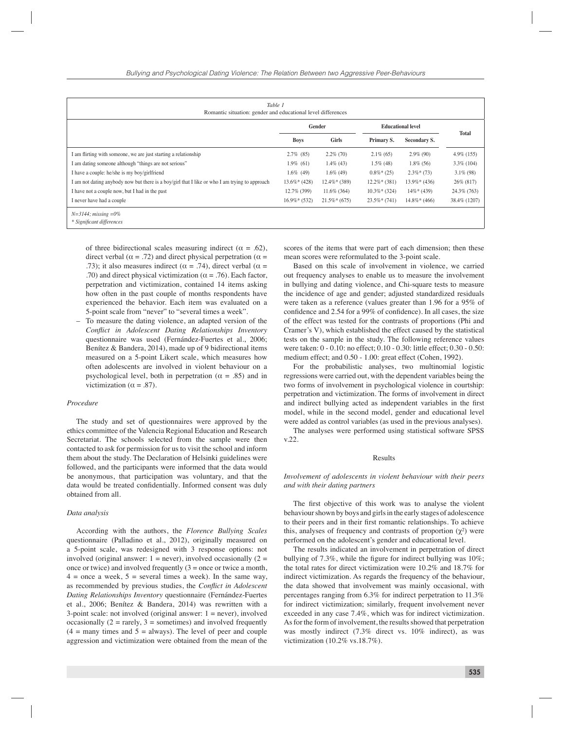| Table 1<br>Romantic situation: gender and educational level differences                        |                |                 |                          |                |               |
|------------------------------------------------------------------------------------------------|----------------|-----------------|--------------------------|----------------|---------------|
|                                                                                                | Gender         |                 | <b>Educational level</b> |                |               |
|                                                                                                | <b>Boys</b>    | Girls           | Primary S.               | Secondary S.   | <b>Total</b>  |
| I am flirting with someone, we are just starting a relationship                                | $2.7\%$ (85)   | $2.2\%$ (70)    | $2.1\%$ (65)             | $2.9\%$ (90)   | $4.9\%$ (155) |
| I am dating someone although "things are not serious"                                          | $1.9\%$ (61)   | $1.4\%$ (43)    | $1.5\%$ (48)             | $1.8\%$ (56)   | $3.3\%$ (104) |
| I have a couple: he/she is my boy/girlfriend                                                   | $1.6\%$ (49)   | $1.6\%$ (49)    | $0.8\%*(25)$             | $2.3\%*(73)$   | $3.1\%$ (98)  |
| I am not dating anybody now but there is a boy/girl that I like or who I am trying to approach | $13.6\%*(428)$ | $12.4\%*$ (389) | $12.2\%*(381)$           | $13.9\%*(436)$ | 26% (817)     |
| I have not a couple now, but I had in the past                                                 | 12.7% (399)    | $11.6\%$ (364)  | $10.3\%*(324)$           | $14\%*(439)$   | 24.3% (763)   |
| I never have had a couple                                                                      | $16.9\%*(532)$ | $21.5\%*(675)$  | $23.5\%*(741)$           | $14.8\%*(466)$ | 38.4% (1207)  |
| $N=3144$ ; missing $=0\%$<br>* Significant differences                                         |                |                 |                          |                |               |

of three bidirectional scales measuring indirect ( $\alpha = .62$ ), direct verbal ( $\alpha$  = .72) and direct physical perpetration ( $\alpha$  = .73); it also measures indirect ( $\alpha = .74$ ), direct verbal ( $\alpha =$ .70) and direct physical victimization ( $\alpha$  = .76). Each factor, perpetration and victimization, contained 14 items asking how often in the past couple of months respondents have experienced the behavior. Each item was evaluated on a 5-point scale from "never" to "several times a week".

– To measure the dating violence, an adapted version of the *Conflict in Adolescent Dating Relationships Inventory* questionnaire was used (Fernández-Fuertes et al., 2006; Benítez & Bandera, 2014), made up of 9 bidirectional items measured on a 5-point Likert scale, which measures how often adolescents are involved in violent behaviour on a psychological level, both in perpetration ( $\alpha = .85$ ) and in victimization ( $\alpha = .87$ ).

#### *Procedure*

The study and set of questionnaires were approved by the ethics committee of the Valencia Regional Education and Research Secretariat. The schools selected from the sample were then contacted to ask for permission for us to visit the school and inform them about the study. The Declaration of Helsinki guidelines were followed, and the participants were informed that the data would be anonymous, that participation was voluntary, and that the data would be treated confidentially. Informed consent was duly obtained from all.

#### *Data analysis*

According with the authors, the *Florence Bullying Scales* questionnaire (Palladino et al., 2012), originally measured on a 5-point scale, was redesigned with 3 response options: not involved (original answer:  $1 =$  never), involved occasionally ( $2 =$ once or twice) and involved frequently  $(3 =$  once or twice a month,  $4 =$  once a week,  $5 =$  several times a week). In the same way, as recommended by previous studies, the *Conflict in Adolescent Dating Relationships Inventory* questionnaire (Fernández-Fuertes et al., 2006; Benítez & Bandera, 2014) was rewritten with a 3-point scale: not involved (original answer:  $1 =$  never), involved occasionally  $(2 = \text{rarely}, 3 = \text{sometimes})$  and involved frequently  $(4 =$  many times and  $5 =$  always). The level of peer and couple aggression and victimization were obtained from the mean of the

scores of the items that were part of each dimension; then these mean scores were reformulated to the 3-point scale.

Based on this scale of involvement in violence, we carried out frequency analyses to enable us to measure the involvement in bullying and dating violence, and Chi-square tests to measure the incidence of age and gender; adjusted standardized residuals were taken as a reference (values greater than 1.96 for a 95% of confidence and  $2.54$  for a 99% of confidence). In all cases, the size of the effect was tested for the contrasts of proportions (Phi and Cramer's V), which established the effect caused by the statistical tests on the sample in the study. The following reference values were taken: 0 - 0.10: no effect; 0.10 - 0.30: little effect; 0.30 - 0.50: medium effect; and 0.50 - 1.00: great effect (Cohen, 1992).

For the probabilistic analyses, two multinomial logistic regressions were carried out, with the dependent variables being the two forms of involvement in psychological violence in courtship: perpetration and victimization. The forms of involvement in direct and indirect bullying acted as independent variables in the first model, while in the second model, gender and educational level were added as control variables (as used in the previous analyses).

The analyses were performed using statistical software SPSS v.22.

#### Results

#### *Involvement of adolescents in violent behaviour with their peers and with their dating partners*

The first objective of this work was to analyse the violent behaviour shown by boys and girls in the early stages of adolescence to their peers and in their first romantic relationships. To achieve this, analyses of frequency and contrasts of proportion  $(\chi^2)$  were performed on the adolescent's gender and educational level.

The results indicated an involvement in perpetration of direct bullying of  $7.3\%$ , while the figure for indirect bullying was  $10\%$ ; the total rates for direct victimization were 10.2% and 18.7% for indirect victimization. As regards the frequency of the behaviour, the data showed that involvement was mainly occasional, with percentages ranging from 6.3% for indirect perpetration to 11.3% for indirect victimization; similarly, frequent involvement never exceeded in any case 7.4%, which was for indirect victimization. As for the form of involvement, the results showed that perpetration was mostly indirect (7.3% direct vs. 10% indirect), as was victimization (10.2% vs.18.7%).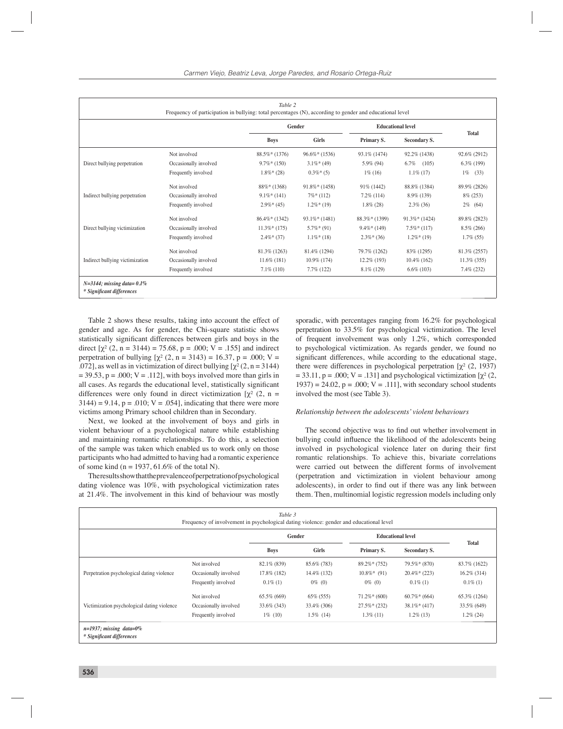| Table 2<br>Frequency of participation in bullying: total percentages (N), according to gender and educational level |                       |                 |                 |                          |                 |                |
|---------------------------------------------------------------------------------------------------------------------|-----------------------|-----------------|-----------------|--------------------------|-----------------|----------------|
|                                                                                                                     |                       | Gender          |                 | <b>Educational level</b> |                 |                |
|                                                                                                                     |                       | <b>Boys</b>     | <b>Girls</b>    | Primary S.               | Secondary S.    | <b>Total</b>   |
|                                                                                                                     | Not involved          | $88.5\%*(1376)$ | $96.6\%*(1536)$ | 93.1\% (1474)            | 92.2% (1438)    | 92.6% (2912)   |
| Direct bullying perpetration                                                                                        | Occasionally involved | $9.7\%*(150)$   | $3.1\%*(49)$    | 5.9% (94)                | 6.7%<br>(105)   | $6.3\%$ (199)  |
|                                                                                                                     | Frequently involved   | $1.8\%*(28)$    | $0.3\%*(5)$     | $1\%$ (16)               | $1.1\%$ (17)    | $1\%$<br>(33)  |
| Indirect bullying perpetration                                                                                      | Not involved          | $88\%*(1368)$   | $91.8\%*(1458)$ | 91% (1442)               | 88.8% (1384)    | 89.9% (2826)   |
|                                                                                                                     | Occasionally involved | $9.1\%*(141)$   | $7\%*(112)$     | $7.2\%$ (114)            | 8.9% (139)      | $8\%$ (253)    |
|                                                                                                                     | Frequently involved   | $2.9\%*(45)$    | $1.2\%*(19)$    | $1.8\%$ (28)             | $2.3\%$ (36)    | $2\%$ (64)     |
| Direct bullying victimization                                                                                       | Not involved          | $86.4\%*(1342)$ | $93.1\%*(1481)$ | $88.3\%*(1399)$          | $91.3\%*(1424)$ | 89.8% (2823)   |
|                                                                                                                     | Occasionally involved | $11.3\%*(175)$  | $5.7\%*(91)$    | $9.4\%*(149)$            | $7.5\%*(117)$   | $8.5\%$ (266)  |
|                                                                                                                     | Frequently involved   | $2.4\%*(37)$    | $1.1\%*(18)$    | $2.3\%*(36)$             | $1.2\%*(19)$    | $1.7\%$ (55)   |
| Indirect bullying victimization                                                                                     | Not involved          | 81.3% (1263)    | 81.4% (1294)    | 79.7% (1262)             | 83% (1295)      | 81.3% (2557)   |
|                                                                                                                     | Occasionally involved | $11.6\%$ (181)  | $10.9\%$ (174)  | $12.2\%$ (193)           | $10.4\%$ (162)  | $11.3\%$ (355) |
|                                                                                                                     | Frequently involved   | $7.1\%$ (110)   | $7.7\%$ (122)   | $8.1\%$ (129)            | $6.6\%$ (103)   | $7.4\%$ (232)  |
| $N=3144$ ; missing data= 0.1%<br>* Significant differences                                                          |                       |                 |                 |                          |                 |                |

Table 2 shows these results, taking into account the effect of gender and age. As for gender, the Chi-square statistic shows statistically significant differences between girls and boys in the direct  $[\chi^2 (2, n = 3144) = 75.68, p = .000; V = .155]$  and indirect perpetration of bullying  $[\chi^2 (2, n = 3143) = 16.37, p = .000; V =$ .072], as well as in victimization of direct bullying  $[\chi^2(2, n = 3144)]$  $= 39.53$ ,  $p = .000$ ;  $V = .112$ , with boys involved more than girls in all cases. As regards the educational level, statistically significant differences were only found in direct victimization  $[\chi^2 (2, n =$  $3144$ ) = 9.14, p = .010; V = .054], indicating that there were more victims among Primary school children than in Secondary.

Next, we looked at the involvement of boys and girls in violent behaviour of a psychological nature while establishing and maintaining romantic relationships. To do this, a selection of the sample was taken which enabled us to work only on those participants who had admitted to having had a romantic experience of some kind ( $n = 1937, 61.6\%$  of the total N).

The results show that the prevalence of perpetration of psychological dating violence was 10%, with psychological victimization rates at 21.4%. The involvement in this kind of behaviour was mostly

sporadic, with percentages ranging from 16.2% for psychological perpetration to 33.5% for psychological victimization. The level of frequent involvement was only 1.2%, which corresponded to psychological victimization. As regards gender, we found no significant differences, while according to the educational stage, there were differences in psychological perpetration  $[\chi^2 (2, 1937)]$  $= 33.11$ , p = .000; V = .131] and psychological victimization [ $\chi^2$  (2,  $1937$ ) = 24.02, p = .000; V = .111], with secondary school students involved the most (see Table 3).

#### *Relationship between the adolescents' violent behaviours*

The second objective was to find out whether involvement in bullying could influence the likelihood of the adolescents being involved in psychological violence later on during their first romantic relationships. To achieve this, bivariate correlations were carried out between the different forms of involvement (perpetration and victimization in violent behaviour among adolescents), in order to find out if there was any link between them. Then, multinomial logistic regression models including only

| Table 3<br>Frequency of involvement in psychological dating violence: gender and educational level |                       |             |              |                          |                |                |
|----------------------------------------------------------------------------------------------------|-----------------------|-------------|--------------|--------------------------|----------------|----------------|
|                                                                                                    |                       | Gender      |              | <b>Educational level</b> |                |                |
|                                                                                                    |                       | <b>Boys</b> | Girls        | Primary S.               | Secondary S.   | <b>Total</b>   |
| Perpetration psychological dating violence                                                         | Not involved          | 82.1% (839) | 85.6% (783)  | $89.2\%*(752)$           | $79.5\%*(870)$ | 83.7% (1622)   |
|                                                                                                    | Occasionally involved | 17.8% (182) | 14.4% (132)  | $10.8\%*$ (91)           | $20.4\%*(223)$ | $16.2\%$ (314) |
|                                                                                                    | Frequently involved   | $0.1\%$ (1) | $0\%$ (0)    | $0\%$ (0)                | $0.1\%$ (1)    | $0.1\%$ (1)    |
| Victimization psychological dating violence                                                        | Not involved          | 65.5% (669) | 65% (555)    | $71.2\%*(600)$           | $60.7\%*(664)$ | 65.3% (1264)   |
|                                                                                                    | Occasionally involved | 33.6% (343) | 33.4\% (306) | $27.5\%*(232)$           | $38.1\%*(417)$ | 33.5% (649)    |
|                                                                                                    | Frequently involved   | $1\%$ (10)  | $1.5\%$ (14) | $1.3\%$ (11)             | $1.2\%$ (13)   | $1.2\%$ (24)   |
| $n=1937$ ; missing data=0%<br>* Significant differences                                            |                       |             |              |                          |                |                |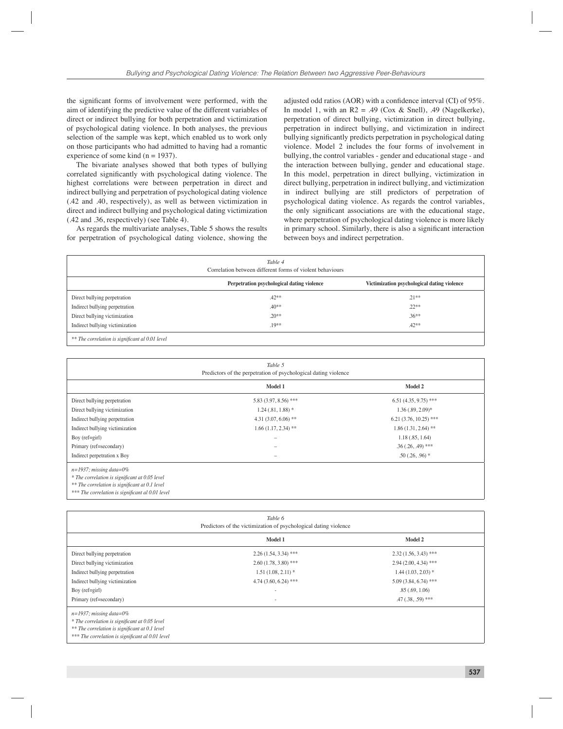the significant forms of involvement were performed, with the aim of identifying the predictive value of the different variables of direct or indirect bullying for both perpetration and victimization of psychological dating violence. In both analyses, the previous selection of the sample was kept, which enabled us to work only on those participants who had admitted to having had a romantic experience of some kind  $(n = 1937)$ .

The bivariate analyses showed that both types of bullying correlated significantly with psychological dating violence. The highest correlations were between perpetration in direct and indirect bullying and perpetration of psychological dating violence (.42 and .40, respectively), as well as between victimization in direct and indirect bullying and psychological dating victimization (.42 and .36, respectively) (see Table 4).

As regards the multivariate analyses, Table 5 shows the results for perpetration of psychological dating violence, showing the

adjusted odd ratios (AOR) with a confidence interval (CI) of 95%. In model 1, with an  $R2 = .49$  (Cox & Snell), .49 (Nagelkerke), perpetration of direct bullying, victimization in direct bullying, perpetration in indirect bullying, and victimization in indirect bullying significantly predicts perpetration in psychological dating violence. Model 2 includes the four forms of involvement in bullying, the control variables - gender and educational stage - and the interaction between bullying, gender and educational stage. In this model, perpetration in direct bullying, victimization in direct bullying, perpetration in indirect bullying, and victimization in indirect bullying are still predictors of perpetration of psychological dating violence. As regards the control variables, the only significant associations are with the educational stage, where perpetration of psychological dating violence is more likely in primary school. Similarly, there is also a significant interaction between boys and indirect perpetration.

| Table 4<br>Correlation between different forms of violent behaviours |                                            |                                             |  |  |
|----------------------------------------------------------------------|--------------------------------------------|---------------------------------------------|--|--|
|                                                                      | Perpetration psychological dating violence | Victimization psychological dating violence |  |  |
| Direct bullying perpetration                                         | $.42**$                                    | $.21**$                                     |  |  |
| Indirect bullying perpetration                                       | $.40**$                                    | $.22**$                                     |  |  |
| Direct bullying victimization                                        | $.20**$                                    | $.36**$                                     |  |  |
| Indirect bullying victimization                                      | $.19**$                                    | $.42**$                                     |  |  |

 $**$  The correlation is significant al 0.01 level

| Table 5<br>Predictors of the perpetration of psychological dating violence   |                        |                         |  |  |
|------------------------------------------------------------------------------|------------------------|-------------------------|--|--|
|                                                                              | Model 1                | Model 2                 |  |  |
| Direct bullying perpetration                                                 | 5.83 (3.97, 8.56) ***  | $6.51(4.35, 9.75)$ ***  |  |  |
| Direct bullying victimization                                                | $1.24(.81, 1.88)$ *    | $1.36$ $(.89, 2.09)*$   |  |  |
| Indirect bullying perpetration                                               | 4.31 $(3.07, 6.06)$ ** | $6.21(3.76, 10.25)$ *** |  |  |
| Indirect bullying victimization                                              | $1.66(1.17, 2.34)$ **  | $1.86(1.31, 2.64)$ **   |  |  |
| Boy $(ref=girl)$                                                             | -                      | 1.18(.85, 1.64)         |  |  |
| Primary (ref=secondary)                                                      |                        | $.36(.26,.49)$ ***      |  |  |
| Indirect perpetration x Boy                                                  |                        | $.50(.26, .96)$ *       |  |  |
| $n=1937$ ; missing data=0%<br>* The correlation is significant at 0.05 level |                        |                         |  |  |

*\*\* The correlation is signifi cant at 0.1 level*

\*\*\* The correlation is significant al 0.01 level

| Table 6<br>Predictors of the victimization of psychological dating violence                                                                                                        |                        |                        |  |  |  |
|------------------------------------------------------------------------------------------------------------------------------------------------------------------------------------|------------------------|------------------------|--|--|--|
|                                                                                                                                                                                    | Model 1                | Model 2                |  |  |  |
| Direct bullying perpetration                                                                                                                                                       | $2.26(1.54, 3.34)$ *** | $2.32(1.56, 3.43)$ *** |  |  |  |
| Direct bullying victimization                                                                                                                                                      | $2.60(1.78, 3.80)$ *** | $2.94(2.00, 4.34)$ *** |  |  |  |
| Indirect bullying perpetration                                                                                                                                                     | $1.51(1.08, 2.11)*$    | $1.44(1.03, 2.03)*$    |  |  |  |
| Indirect bullying victimization                                                                                                                                                    | $4.74(3.60, 6.24)$ *** | $5.09(3.84, 6.74)$ *** |  |  |  |
| Boy $(ref=girl)$                                                                                                                                                                   | $\sim$                 | .85(.69, 1.06)         |  |  |  |
| Primary (ref=secondary)                                                                                                                                                            | ٠                      | $.47(.38,.59)$ ***     |  |  |  |
| $n=1937$ ; missing data=0%<br>* The correlation is significant at 0.05 level<br>** The correlation is significant at 0.1 level<br>*** The correlation is significant al 0.01 level |                        |                        |  |  |  |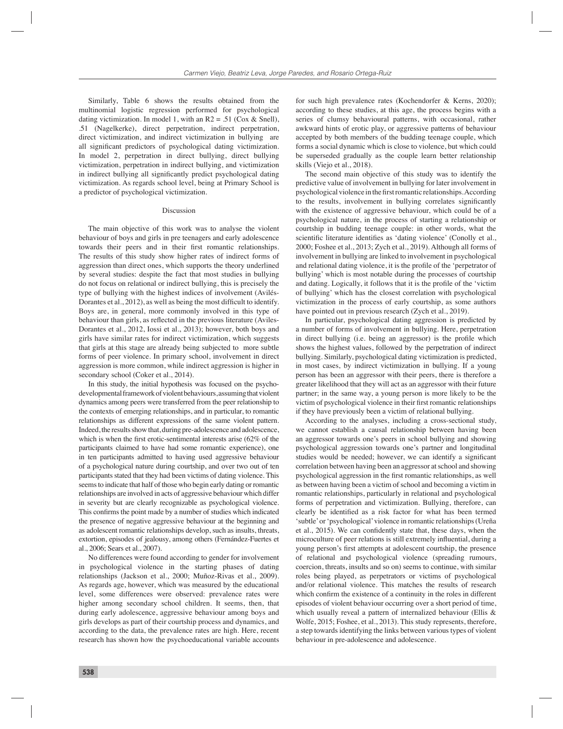Similarly, Table 6 shows the results obtained from the multinomial logistic regression performed for psychological dating victimization. In model 1, with an  $R2 = .51$  (Cox & Snell), .51 (Nagelkerke), direct perpetration, indirect perpetration, direct victimization, and indirect victimization in bullying are all significant predictors of psychological dating victimization. In model 2, perpetration in direct bullying, direct bullying victimization, perpetration in indirect bullying, and victimization in indirect bullying all significantly predict psychological dating victimization. As regards school level, being at Primary School is a predictor of psychological victimization.

#### Discussion

The main objective of this work was to analyse the violent behaviour of boys and girls in pre teenagers and early adolescence towards their peers and in their first romantic relationships. The results of this study show higher rates of indirect forms of aggression than direct ones, which supports the theory underlined by several studies: despite the fact that most studies in bullying do not focus on relational or indirect bullying, this is precisely the type of bullying with the highest indices of involvement (Avilés-Dorantes et al., 2012), as well as being the most difficult to identify. Boys are, in general, more commonly involved in this type of behaviour than girls, as reflected in the previous literature (Aviles-Dorantes et al., 2012, Iossi et al., 2013); however, both boys and girls have similar rates for indirect victimization, which suggests that girls at this stage are already being subjected to more subtle forms of peer violence. In primary school, involvement in direct aggression is more common, while indirect aggression is higher in secondary school (Coker et al., 2014).

In this study, the initial hypothesis was focused on the psychodevelopmental framework of violent behaviours, assuming that violent dynamics among peers were transferred from the peer relationship to the contexts of emerging relationships, and in particular, to romantic relationships as different expressions of the same violent pattern. Indeed, the results show that, during pre-adolescence and adolescence, which is when the first erotic-sentimental interests arise  $(62\% \text{ of the})$ participants claimed to have had some romantic experience), one in ten participants admitted to having used aggressive behaviour of a psychological nature during courtship, and over two out of ten participants stated that they had been victims of dating violence. This seems to indicate that half of those who begin early dating or romantic relationships are involved in acts of aggressive behaviour which differ in severity but are clearly recognizable as psychological violence. This confirms the point made by a number of studies which indicated the presence of negative aggressive behaviour at the beginning and as adolescent romantic relationships develop, such as insults, threats, extortion, episodes of jealousy, among others (Fernández-Fuertes et al., 2006; Sears et al., 2007).

No differences were found according to gender for involvement in psychological violence in the starting phases of dating relationships (Jackson et al., 2000; Muñoz-Rivas et al., 2009). As regards age, however, which was measured by the educational level, some differences were observed: prevalence rates were higher among secondary school children. It seems, then, that during early adolescence, aggressive behaviour among boys and girls develops as part of their courtship process and dynamics, and according to the data, the prevalence rates are high. Here, recent research has shown how the psychoeducational variable accounts

for such high prevalence rates (Kochendorfer & Kerns, 2020); according to these studies, at this age, the process begins with a series of clumsy behavioural patterns, with occasional, rather awkward hints of erotic play, or aggressive patterns of behaviour accepted by both members of the budding teenage couple, which forms a social dynamic which is close to violence, but which could be superseded gradually as the couple learn better relationship skills (Viejo et al., 2018).

The second main objective of this study was to identify the predictive value of involvement in bullying for later involvement in psychological violence in the first romantic relationships. According to the results, involvement in bullying correlates significantly with the existence of aggressive behaviour, which could be of a psychological nature, in the process of starting a relationship or courtship in budding teenage couple: in other words, what the scientific literature identifies as 'dating violence' (Conolly et al., 2000; Foshee et al., 2013; Zych et al., 2019). Although all forms of involvement in bullying are linked to involvement in psychological and relational dating violence, it is the profile of the 'perpetrator of bullying' which is most notable during the processes of courtship and dating. Logically, it follows that it is the profile of the 'victim of bullying' which has the closest correlation with psychological victimization in the process of early courtship, as some authors have pointed out in previous research (Zych et al., 2019).

In particular, psychological dating aggression is predicted by a number of forms of involvement in bullying. Here, perpetration in direct bullying (i.e. being an aggressor) is the profile which shows the highest values, followed by the perpetration of indirect bullying. Similarly, psychological dating victimization is predicted, in most cases, by indirect victimization in bullying. If a young person has been an aggressor with their peers, there is therefore a greater likelihood that they will act as an aggressor with their future partner; in the same way, a young person is more likely to be the victim of psychological violence in their first romantic relationships if they have previously been a victim of relational bullying.

According to the analyses, including a cross-sectional study, we cannot establish a causal relationship between having been an aggressor towards one's peers in school bullying and showing psychological aggression towards one's partner and longitudinal studies would be needed; however, we can identify a significant correlation between having been an aggressor at school and showing psychological aggression in the first romantic relationships, as well as between having been a victim of school and becoming a victim in romantic relationships, particularly in relational and psychological forms of perpetration and victimization. Bullying, therefore, can clearly be identified as a risk factor for what has been termed 'subtle' or 'psychological' violence in romantic relationships (Ureña et al., 2015). We can confidently state that, these days, when the microculture of peer relations is still extremely influential, during a young person's first attempts at adolescent courtship, the presence of relational and psychological violence (spreading rumours, coercion, threats, insults and so on) seems to continue, with similar roles being played, as perpetrators or victims of psychological and/or relational violence. This matches the results of research which confirm the existence of a continuity in the roles in different episodes of violent behaviour occurring over a short period of time, which usually reveal a pattern of internalized behaviour (Ellis & Wolfe, 2015; Foshee, et al., 2013). This study represents, therefore, a step towards identifying the links between various types of violent behaviour in pre-adolescence and adolescence.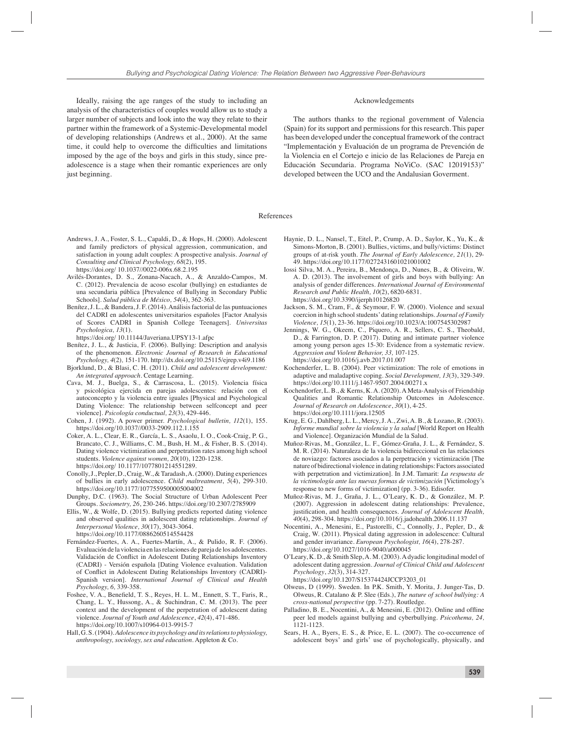Ideally, raising the age ranges of the study to including an analysis of the characteristics of couples would allow us to study a larger number of subjects and look into the way they relate to their partner within the framework of a Systemic-Developmental model of developing relationships (Andrews et al., 2000). At the same time, it could help to overcome the difficulties and limitations imposed by the age of the boys and girls in this study, since preadolescence is a stage when their romantic experiences are only just beginning.

#### Acknowledgements

The authors thanks to the regional government of Valencia (Spain) for its support and permissions for this research. This paper has been developed under the conceptual framework of the contract "Implementación y Evaluación de un programa de Prevención de la Violencia en el Cortejo e inicio de las Relaciones de Pareja en Educación Secundaria. Programa NoViCo. (SAC 12019153)" developed between the UCO and the Andalusian Goverment.

#### References

- Andrews, J. A., Foster, S. L., Capaldi, D., & Hops, H. (2000). Adolescent and family predictors of physical aggression, communication, and satisfaction in young adult couples: A prospective analysis. *Journal of Consulting and Clinical Psychology, 68*(2), 195. https://doi.org/ 10.1037//0022-006x.68.2.195
- Avilés-Dorantes, D. S., Zonana-Nacach, A., & Anzaldo-Campos, M. C. (2012). Prevalencia de acoso escolar (bullying) en estudiantes de una secundaria pública [Prevalence of Bullying in Secondary Public Schools]. *Salud pública de México, 54*(4), 362-363.
- Benítez, J. L., & Bandera, J. F. (2014). Análisis factorial de las puntuaciones del CADRI en adolescentes universitarios españoles [Factor Analysis of Scores CADRI in Spanish College Teenagers]. *Universitas Psychologica, 13*(1).
- https://doi.org/ 10.11144/Javeriana.UPSY13-1.afpc
- Benítez, J. L., & Justicia, F. (2006). Bullying: Description and analysis of the phenomenon. *Electronic Journal of Research in Educational Psychology, 4*(2)*,* 151-170. http://dx.doi.org/10.25115/ejrep.v4i9.1186
- Bjorklund, D., & Blasi, C. H. (2011). *Child and adolescent development: An integrated approach.* Centage Learning.
- Cava, M. J., Buelga, S., & Carrascosa, L. (2015). Violencia física y psicológica ejercida en parejas adolescentes: relación con el autoconcepto y la violencia entre iguales [Physical and Psychological Dating Violence: The relationship between selfconcept and peer violence]. *Psicología conductual, 23*(3), 429-446.
- Cohen, J. (1992). A power primer. *Psychological bulletin, 112*(1), 155. https://doi.org/10.1037//0033-2909.112.1.155
- Coker, A. L., Clear, E. R., García, L. S., Asaolu, I. O., Cook-Craig, P. G., Brancato, C. J., Williams, C. M., Bush, H. M., & Fisher, B. S. (2014). Dating violence victimization and perpetration rates among high school students. *Violence against women, 20*(10), 1220-1238. https://doi.org/ 10.1177/1077801214551289.
- Conolly, J., Pepler, D., Craig, W., & Taradash, A. (2000). Dating experiences of bullies in early adolescence. *Child maltreatment*, *5*(4), 299-310. https://doi.org/10.1177/1077559500005004002
- Dunphy, D.C. (1963). The Social Structure of Urban Adolescent Peer Groups. *Sociometry, 26*, 230-246. https://doi.org/10.2307/2785909
- Ellis, W., & Wolfe, D. (2015). Bullying predicts reported dating violence and observed qualities in adolescent dating relationships. *Journal of Interpersonal Violence, 30*(17), 3043-3064. https://doi.org/10.1177/0886260514554428
- Fernández-Fuertes, A. A., Fuertes-Martín, A., & Pulido, R. F. (2006). Evaluación de la violencia en las relaciones de pareja de los adolescentes. Validación de Conflict in Adolescent Dating Relationships Inventory (CADRI) - Versión española [Dating Violence evaluation. Validation of Conflict in Adolescent Dating Relationships Inventory (CADRI)-Spanish version]. *International Journal of Clinical and Health Psychology, 6,* 339-358.
- Foshee, V. A., Benefield, T. S., Reyes, H. L. M., Ennett, S. T., Faris, R., Chang, L. Y., Hussong, A., & Suchindran, C. M. (2013). The peer context and the development of the perpetration of adolescent dating violence. *Journal of Youth and Adolescence*, *42*(4), 471-486. https://doi.org/10.1007/s10964-013-9915-7
- Hall, G. S. (1904). *Adolescence its psychology and its relations to physiology, anthropology, sociology, sex and education.* Appleton & Co.
- Haynie, D. L., Nansel, T., Eitel, P., Crump, A. D., Saylor, K., Yu, K., & Simons-Morton, B. (2001). Bullies, victims, and bully/victims: Distinct groups of at-risk youth. *The Journal of Early Adolescence, 21*(1), 29- 49. https://doi.org/10.1177/0272431601021001002
- Iossi Silva, M. A., Pereira, B., Mendonça, D., Nunes, B., & Oliveira, W. A. D. (2013). The involvement of girls and boys with bullying: An analysis of gender differences. *International Journal of Environmental Research and Public Health, 10*(2), 6820-6831. https://doi.org/10.3390/ijerph10126820
- Jackson, S. M., Cram, F., & Seymour, F. W. (2000). Violence and sexual coercion in high school students' dating relationships. *Journal of Family Violence, 15*(1), 23-36. https://doi.org/10.1023/A:1007545302987
- Jennings, W. G., Okeem, C., Piquero, A. R., Sellers, C. S., Theobald, D., & Farrington, D. P. (2017). Dating and intimate partner violence among young person ages 15-30: Evidence from a systematic review. *Aggression and Violent Behavior, 33,* 107-125. https://doi.org/10.1016/j.avb.2017.01.007
- Kochenderfer, L. B. (2004). Peer victimization: The role of emotions in adaptive and maladaptive coping. *Social Development, 13*(3), 329-349. https://doi.org/10.1111/j.1467-9507.2004.00271.x
- Kochendorfer, L. B., & Kerns, K. A. (2020). A Meta-Analysis of Friendship Qualities and Romantic Relationship Outcomes in Adolescence. *Journal of Research on Adolescence*, *30*(1), 4-25. https://doi.org/10.1111/jora.12505
- Krug, E. G., Dahlberg, L. L., Mercy, J. A., Zwi, A. B., & Lozano, R. (2003). *Informe mundial sobre la violencia y la salud* [World Report on Health and Violence]. Organización Mundial de la Salud.
- Muñoz-Rivas, M., González, L. F., Gómez-Graña, J. L., & Fernández, S. M. R. (2014). Naturaleza de la violencia bidireccional en las relaciones de noviazgo: factores asociados a la perpetración y victimización [The nature of bidirectional violence in dating relationships: Factors associated with perpetration and victimization]. In J.M. Tamarit: *La respuesta de la victimología ante las nuevas formas de victimización* [Victimology's response to new forms of victimization] (pp. 3-36). Edisofer.
- Muñoz-Rivas, M. J., Graña, J. L., O'Leary, K. D., & González, M. P. (2007). Aggression in adolescent dating relationships: Prevalence, justification, and health consequences. *Journal of Adolescent Health*, *40*(4), 298-304. https://doi.org/10.1016/j.jadohealth.2006.11.137
- Nocentini, A., Menesini, E., Pastorelli, C., Connolly, J., Pepler, D., & Craig, W. (2011). Physical dating aggression in adolescence: Cultural and gender invariance. *European Psychologist, 16*(4), 278-287. https://doi.org/10.1027/1016-9040/a000045
- O'Leary, K. D., & Smith Slep, A. M. (2003). A dyadic longitudinal model of adolescent dating aggression. *Journal of Clinical Child and Adolescent Psychology*, *32*(3), 314-327. https://doi.org/10.1207/S15374424JCCP3203\_01
- Olweus, D (1999). Sweden. In P.K. Smith, Y. Morita, J. Junger-Tas, D. Olweus, R. Catalano & P. Slee (Eds.), *The nature of school bullying: A cross-national perspective* (pp. 7-27). Routledge.
- Palladino, B. E., Nocentini, A., & Menesini, E. (2012). Online and offline peer led models against bullying and cyberbullying. *Psicothema, 24,*  1121-1123.
- Sears, H. A., Byers, E. S., & Price, E. L. (2007). The co-occurrence of adolescent boys' and girls' use of psychologically, physically, and